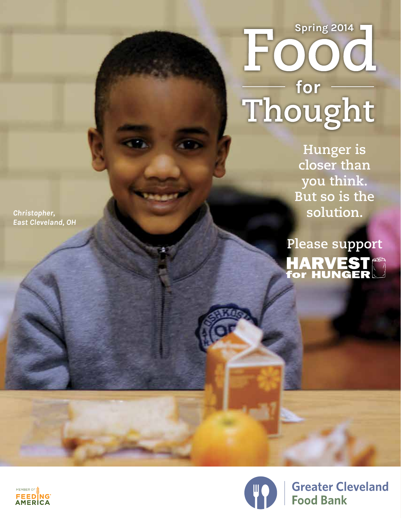# Food<br>For<br>Thought

**Hunger is closer than you think. But so is the solution.** 

**Please supportHARVEST**<br>for HUNGER

*Christopher, East Cleveland, OH*





**Greater Cleveland Food Bank**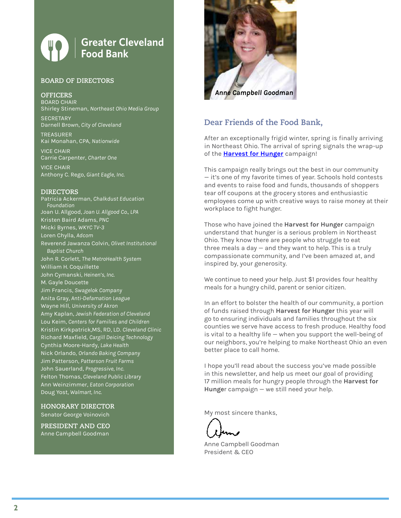#### **Greater Cleveland Food Bank**

#### **BOARD OF DIRECTORS**

**OFFICERS**

BOARD CHAIR Shirley Stineman, *Northeast Ohio Media Group*

**SECRETARY** Darnell Brown, *City of Cleveland*

TREASURER Kai Monahan, CPA, *Nationwide*

VICE CHAIR Carrie Carpenter, *Charter One*

VICE CHAIR Anthony C. Rego, *Giant Eagle, Inc.*

#### **DIRECTORS**

Patricia Ackerman, *Chalkdust Education Foundation* Joan U. Allgood, *Joan U. Allgood Co., LPA* Kristen Baird Adams, *PNC* Micki Byrnes, *WKYC TV-3* Loren Chylla, *Adcom* Reverend Jawanza Colvin, *Olivet Institutional Baptist Church* John R. Corlett, *The MetroHealth System* William H. Coquillette John Cymanski, *Heinen's, Inc*. M. Gayle Doucette Jim Francis, *Swagelok Company* Anita Gray, *Anti-Defamation League* Wayne Hill, *University of Akron* Amy Kaplan, *Jewish Federation of Cleveland* Lou Keim, *Centers for Families and Children* Kristin Kirkpatrick,MS, RD, LD. *Cleveland Clinic* Richard Maxfield, *Cargill Deicing Technology* Cynthia Moore-Hardy, *Lake Health* Nick Orlando, *Orlando Baking Company* Jim Patterson, *Patterson Fruit Farms* John Sauerland, *Progressive, Inc.* Felton Thomas, *Cleveland Public Library* Ann Weinzimmer, *Eaton Corporation* Doug Yost, *Walmart, Inc.*

**HONORARY DIRECTOR** Senator George Voinovich

**PRESIDENT AND CEO** Anne Campbell Goodman



#### **Dear Friends of the Food Bank,**

After an exceptionally frigid winter, spring is finally arriving in Northeast Ohio. The arrival of spring signals the wrap-up of the **[Harvest for Hunger](http://www.harvestforhunger.org)** campaign!

This campaign really brings out the best in our community — it's one of my favorite times of year. Schools hold contests and events to raise food and funds, thousands of shoppers tear off coupons at the grocery stores and enthusiastic employees come up with creative ways to raise money at their workplace to fight hunger.

Those who have joined the **Harvest for Hunger** campaign understand that hunger is a serious problem in Northeast Ohio. They know there are people who struggle to eat three meals a day — and they want to help. This is a truly compassionate community, and I've been amazed at, and inspired by, your generosity.

We continue to need your help. Just \$1 provides four healthy meals for a hungry child, parent or senior citizen.

In an effort to bolster the health of our community, a portion of funds raised through **Harvest for Hunger** this year will go to ensuring individuals and families throughout the six counties we serve have access to fresh produce. Healthy food is vital to a healthy life — when you support the well-being of our neighbors, you're helping to make Northeast Ohio an even better place to call home.

I hope you'll read about the success you've made possible in this newsletter, and help us meet our goal of providing 17 million meals for hungry people through the **Harvest for Hunge**r campaign — we still need your help.

My most sincere thanks,

Anne Campbell Goodman President & CEO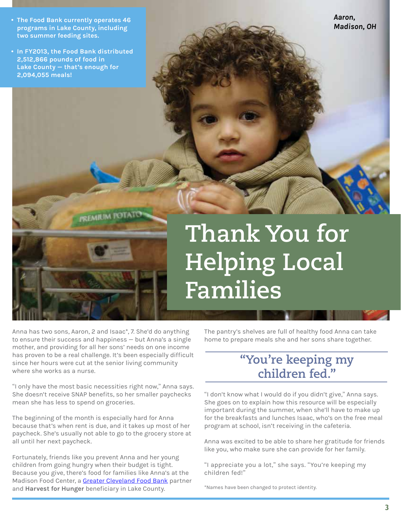- *Madison, OH* **The Food Bank currently operates 46 programs in Lake County, including two summer feeding sites.**
- **In FY2013, the Food Bank distributed 2,512,866 pounds of food in Lake County — that's enough for 2,094,055 meals!**

*Aaron,*

# **Thank You for Helping Local Families**

Anna has two sons, Aaron, 2 and Isaac\*, 7. She'd do anything to ensure their success and happiness — but Anna's a single mother, and providing for all her sons' needs on one income has proven to be a real challenge. It's been especially difficult since her hours were cut at the senior living community where she works as a nurse.

**PREMIUM POTATO** 

"I only have the most basic necessities right now," Anna says. She doesn't receive SNAP benefits, so her smaller paychecks mean she has less to spend on groceries.

The beginning of the month is especially hard for Anna because that's when rent is due, and it takes up most of her paycheck. She's usually not able to go to the grocery store at all until her next paycheck.

Fortunately, friends like you prevent Anna and her young children from going hungry when their budget is tight. Because you give, there's food for families like Anna's at the Madison Food Center, a [Greater Cleveland Food Bank](http://www.clevelandfoodbank.org) partner and **Harvest for Hunger** beneficiary in Lake County.

The pantry's shelves are full of healthy food Anna can take home to prepare meals she and her sons share together.

#### **"You're keeping my children fed."**

"I don't know what I would do if you didn't give," Anna says. She goes on to explain how this resource will be especially important during the summer, when she'll have to make up for the breakfasts and lunches Isaac, who's on the free meal program at school, isn't receiving in the cafeteria.

Anna was excited to be able to share her gratitude for friends like you, who make sure she can provide for her family.

"I appreciate you a lot," she says. "You're keeping my children fed!"

\*Names have been changed to protect identity.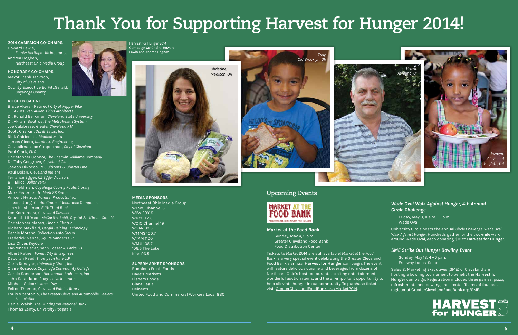#### **2014 CAMPAIGN CO-CHAIRS** Howard Lewis, *Family Heritage Life Insurance*

Andrea Hogben, *Northeast Ohio Media Group*

#### **HONORARY CO-CHAIRS**

Mayor Frank Jackson, *City of Cleveland* County Executive Ed FitzGerald, *Cuyahoga County*

#### **KITCHEN CABINET**

Bruce Akers, (Retired) *City of Pepper Pike*  Jill Akins, *Van Auken Akins Architects* Dr. Ronald Berkman, *Cleveland State University* Dr. Akram Boutros, *The MetroHealth System* Joe Calabrese, *Greater Cleveland RTA* Scott Chaikin, *Dix & Eaton, Inc.* Rick Chiricosta, *Medical Mutua*l James Cicero, *Karpinski Engineering* Councilman Joe Cimperman, *City of Cleveland* Paul Clark, *PNC* Christopher Connor, *The Sherwin-Williams Company* Dr. Toby Cosgrove, *Cleveland Clinic* Joseph DiRocco, *RBS Citizens & Charter One* Paul Dolan, *Cleveland Indians* Terrance Egger, *CZ Egger Advisors* Bill Elliot, *Dollar Bank* Sari Feldman, *Cuyahoga County Public Library*  Mark Fishman, *Tri Mark SS Kemp* Vincent Hvizda, *Admiral Products, Inc.* Jessica Jung, *Chubb Group of Insurance Companies* Jerry Kelsheimer, *Fifth Third Bank* Len Komoroski, *Cleveland Cavaliers* Kenneth Liffman, *McCarthy*, *Lebit, Crystal & Liffman Co., LPA* Christopher Mapes, *Lincoln Electric* Richard Maxfield, *Cargill Deicing Technology* Bernie Moreno, *Collection Auto Group* Frederick Nance, *Squire Sanders LLP* Lisa Oliver, *KeyCorp* Lawrence Oscar, *Hahn, Loeser & Parks LLP* Albert Ratner, *Forest City Enterprises* Deborah Read, *Thompson Hine LLP* Chris Ronayne, *University Circle, Inc.* Claire Rosacco, *Cuyahoga Community College* Carole Sanderson, *Herschman Architects, Inc.* John Sauerland, *Progressive Insurance* Michael Solecki, *Jones Day* Felton Thomas, *Cleveland Public Library* Louis Vitantonio, *The Greater Cleveland Automobile Dealers' Association* Daniel Walsh, *The Huntington National Bank* Thomas Zenty, *University Hospitals*



Harvest for Hunger 2014 Campaign Co-Chairs, Howard Lewis and Andrea Hogben

#### **Upcoming Events**



#### *Market at the Food Bank*

Sunday, May 4, 5 p.m. Greater Cleveland Food Bank Food Distribution Center

Tickets to *Market* 2014 are still available! *Market at the Food Bank* is a very special event celebrating the Greater Cleveland Food Bank's annual **Harvest for Hunger** campaign. The event will feature delicious cuisine and beverages from dozens of Northeast Ohio's best restaurants, exciting entertainment, wonderful auction items, and the all-important opportunity to help alleviate hunger in our community. To purchase tickets, visit <GreaterClevelandFoodBank.org/Market2014>.

#### **MEDIA SPONSORS**

Northeast Ohio Media Group WEWS Channel 5 WJW FOX 8 WKYC TV 3 WOIO Channel 19 WGAR 99.5 WMMS 100.7 WTAM 1100 WMJI 105.7 106.5 The Lake Kiss 96.5

#### **SUPERMARKET SPONSORS**

Buehler's Fresh Foods Dave's Markets Fishers Foods Giant Eagle Heinen's United Food and Commercial Workers Local 880

# **Thank You for Supporting Harvest for Hunger 2014!**









#### *Wade Oval Walk Against Hunger, 4th Annual Circle Challenge*

Friday, May 9, 11 a.m. – 1 p.m. Wade Oval

University Circle hosts the annual *Circle Challenge: Wade Oval Walk Against Hunger*. Hundreds gather for the two-mile walk around Wade Oval, each donating \$10 to **Harvest for Hunger**.

#### *SME Strike Out Hunger Bowling Event*

Sunday, May 18, 4 – 7 p.m. Freeway Lanes, Solon

Sales & Marketing Executives (SME) of Cleveland are hosting a bowling tournament to benefit the **Harvest for Hunger** campaign. Registration includes three games, pizza, refreshments and bowling shoe rental. Teams of four can register at [GreaterClevelandFoodBank.org/SME](http://www.GreaterClevelandFoodBank.org/SME).

# **HARVEST**<br>for HUNGER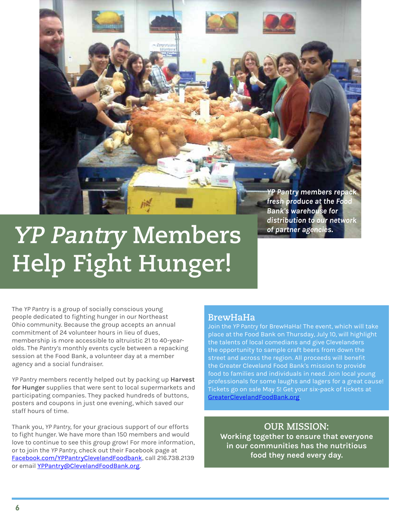*YP Pantry members repack fresh produce at the Food Bank's warehouse for distribution to our network of partner agencies.*

## **YP Pantry Members Help Fight Hunger!**

The *YP Pantry* is a group of socially conscious young people dedicated to fighting hunger in our Northeast Ohio community. Because the group accepts an annual commitment of 24 volunteer hours in lieu of dues, membership is more accessible to altruistic 21 to 40-yearolds. The *Pantry's* monthly events cycle between a repacking session at the Food Bank, a volunteer day at a member agency and a social fundraiser.

*YP Pantry* members recently helped out by packing up **Harvest for Hunger** supplies that were sent to local supermarkets and participating companies. They packed hundreds of buttons, posters and coupons in just one evening, which saved our staff hours of time.

Thank you, *YP Pantry*, for your gracious support of our efforts to fight hunger. We have more than 150 members and would love to continue to see this group grow! For more information, or to join the *YP Pantry*, check out their Facebook page at [Facebook.com/YPPantryClevelandFoodbank](http://www.Facebook.com/YPPantryClevelandFoodbank), call 216.738.2139 or email [YPPantry@ClevelandFoodBank.org](mailto:YPPantry%40ClevelandFoodBank.org?subject=YP%20Pantry%20Inquiry).

#### **BrewHaHa**

Join the *YP Pantry* for BrewHaHa! The event, which will take place at the Food Bank on Thursday, July 10, will highlight the talents of local comedians and give Clevelanders the opportunity to sample craft beers from down the street and across the region. All proceeds will benefit the Greater Cleveland Food Bank's mission to provide food to families and individuals in need. Join local young professionals for some laughs and lagers for a great cause! Tickets go on sale May 5! Get your six-pack of tickets at [GreaterClevelandFoodBank.org.](http://www.GreaterClevelandFoodBank.org)

#### **OUR MISSION: Working together to ensure that everyone in our communities has the nutritious food they need every day.**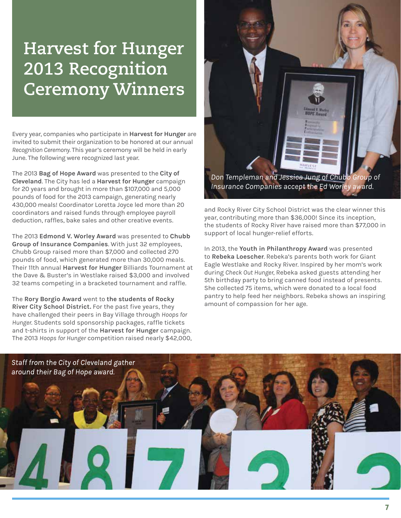### **Harvest for Hunger 2013 Recognition Ceremony Winners**

Every year, companies who participate in **Harvest for Hunger** are invited to submit their organization to be honored at our annual *Recognition Ceremony.* This year's ceremony will be held in early June. The following were recognized last year.

The 2013 **Bag of Hope Award** was presented to the **City of Cleveland**. The City has led a **Harvest for Hunger** campaign for 20 years and brought in more than \$107,000 and 5,000 pounds of food for the 2013 campaign, generating nearly 430,000 meals! Coordinator Loretta Joyce led more than 20 coordinators and raised funds through employee payroll deduction, raffles, bake sales and other creative events.

The 2013 **Edmond V. Worley Award** was presented to **Chubb Group of Insurance Companies**. With just 32 employees, Chubb Group raised more than \$7,000 and collected 270 pounds of food, which generated more than 30,000 meals. Their 11th annual **Harvest for Hunger** Billiards Tournament at the Dave & Buster's in Westlake raised \$3,000 and involved 32 teams competing in a bracketed tournament and raffle.

The **Rory Borgio Award** went to **the students of Rocky River City School District.** For the past five years, they have challenged their peers in Bay Village through *Hoops for Hunger*. Students sold sponsorship packages, raffle tickets and t-shirts in support of the **Harvest for Hunger** campaign. The 2013 *Hoops for Hunger* competition raised nearly \$42,000,



*Insurance Companies accept the Ed Worley award.*

and Rocky River City School District was the clear winner this year, contributing more than \$36,000! Since its inception, the students of Rocky River have raised more than \$77,000 in support of local hunger-relief efforts.

In 2013, the **Youth in Philanthropy Award** was presented to **Rebeka Loescher**. Rebeka's parents both work for Giant Eagle Westlake and Rocky River. Inspired by her mom's work during *Check Out Hunger*, Rebeka asked guests attending her 5th birthday party to bring canned food instead of presents. She collected 75 items, which were donated to a local food pantry to help feed her neighbors. Rebeka shows an inspiring amount of compassion for her age.